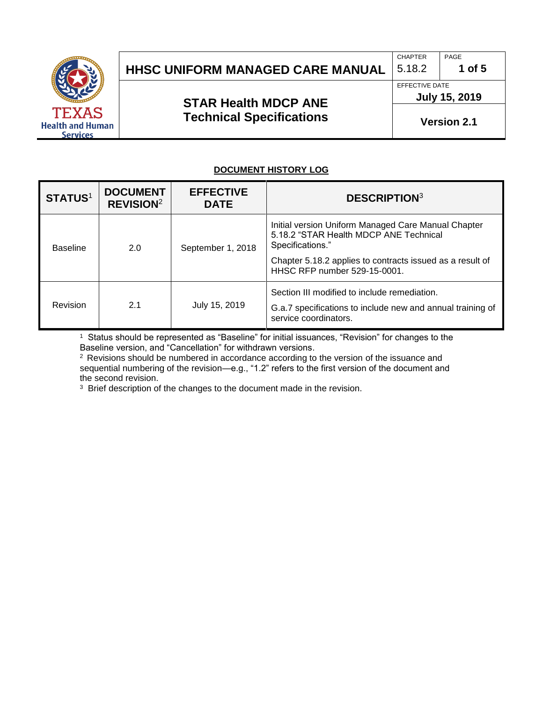

# **HHSC UNIFORM MANAGED CARE MANUAL** 5.18.2 1 of 5

### **STAR Health MDCP ANE Technical Specifications**

EFFECTIVE DATE

CHAPTER | PAGE

**July 15, 2019**

**Version 2.1**

#### **DOCUMENT HISTORY LOG**

| <b>STATUS1</b>  | <b>DOCUMENT</b><br><b>REVISION</b> <sup>2</sup> | <b>EFFECTIVE</b><br><b>DATE</b> | <b>DESCRIPTION3</b>                                                                                                                                                                                            |
|-----------------|-------------------------------------------------|---------------------------------|----------------------------------------------------------------------------------------------------------------------------------------------------------------------------------------------------------------|
| <b>Baseline</b> | 2.0                                             | September 1, 2018               | Initial version Uniform Managed Care Manual Chapter<br>5.18.2 "STAR Health MDCP ANE Technical<br>Specifications."<br>Chapter 5.18.2 applies to contracts issued as a result of<br>HHSC RFP number 529-15-0001. |
| Revision        | 2.1                                             | July 15, 2019                   | Section III modified to include remediation.<br>G.a.7 specifications to include new and annual training of<br>service coordinators.                                                                            |

1 Status should be represented as "Baseline" for initial issuances, "Revision" for changes to the Baseline version, and "Cancellation" for withdrawn versions.

<sup>2</sup> Revisions should be numbered in accordance according to the version of the issuance and sequential numbering of the revision—e.g., "1.2" refers to the first version of the document and the second revision.

<sup>3</sup> Brief description of the changes to the document made in the revision.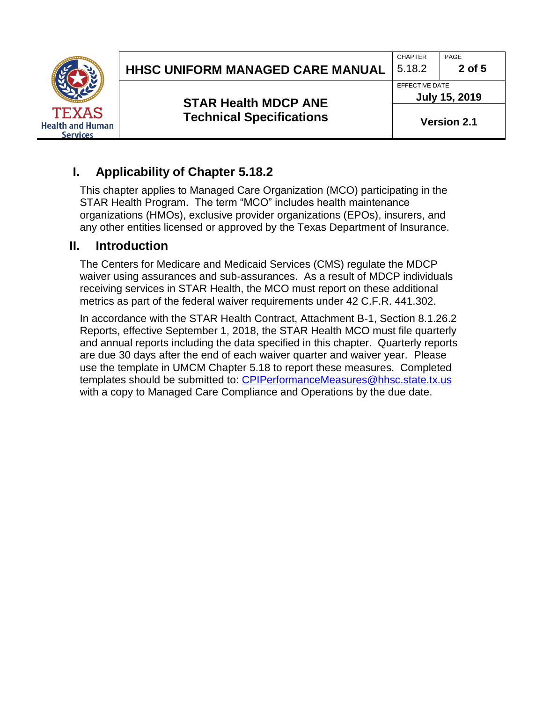|                                                            | <b>HHSC UNIFORM MANAGED CARE MANUAL</b>                        | <b>CHAPTER</b><br>5.18.2               | PAGE<br>2 of 5     |
|------------------------------------------------------------|----------------------------------------------------------------|----------------------------------------|--------------------|
|                                                            | <b>STAR Health MDCP ANE</b><br><b>Technical Specifications</b> | EFFECTIVE DATE<br><b>July 15, 2019</b> |                    |
| <b>TEXAS</b><br><b>Health and Human</b><br><b>Services</b> |                                                                |                                        | <b>Version 2.1</b> |

## **I. Applicability of Chapter 5.18.2**

This chapter applies to Managed Care Organization (MCO) participating in the STAR Health Program. The term "MCO" includes health maintenance organizations (HMOs), exclusive provider organizations (EPOs), insurers, and any other entities licensed or approved by the Texas Department of Insurance.

### **II. Introduction**

The Centers for Medicare and Medicaid Services (CMS) regulate the MDCP waiver using assurances and sub-assurances. As a result of MDCP individuals receiving services in STAR Health, the MCO must report on these additional metrics as part of the federal waiver requirements under 42 C.F.R. 441.302.

In accordance with the STAR Health Contract, Attachment B-1, Section 8.1.26.2 Reports, effective September 1, 2018, the STAR Health MCO must file quarterly and annual reports including the data specified in this chapter. Quarterly reports are due 30 days after the end of each waiver quarter and waiver year. Please use the template in UMCM Chapter 5.18 to report these measures. Completed templates should be submitted to: [CPIPerformanceMeasures@hhsc.state.tx.us](mailto:CPIPerformanceMeasures@hhsc.state.tx.us) with a copy to Managed Care Compliance and Operations by the due date.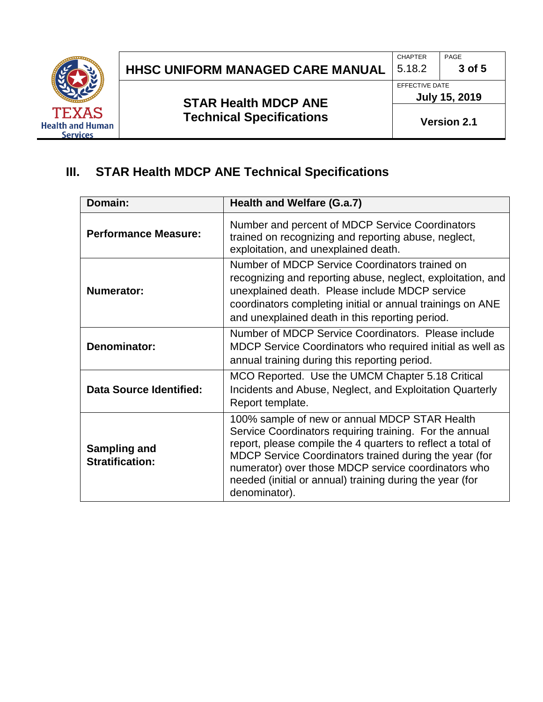

# **HHSC UNIFORM MANAGED CARE MANUAL**  $\begin{bmatrix} 5.18.2 \end{bmatrix}$  3 of 5

**STAR Health MDCP ANE Technical Specifications** CHAPTER PAGE

EFFECTIVE DATE

**July 15, 2019**

**Version 2.1**

## **III. STAR Health MDCP ANE Technical Specifications**

| Domain:                                       | Health and Welfare (G.a.7)                                                                                                                                                                                                                                                                                                                                            |
|-----------------------------------------------|-----------------------------------------------------------------------------------------------------------------------------------------------------------------------------------------------------------------------------------------------------------------------------------------------------------------------------------------------------------------------|
| <b>Performance Measure:</b>                   | Number and percent of MDCP Service Coordinators<br>trained on recognizing and reporting abuse, neglect,<br>exploitation, and unexplained death.                                                                                                                                                                                                                       |
| <b>Numerator:</b>                             | Number of MDCP Service Coordinators trained on<br>recognizing and reporting abuse, neglect, exploitation, and<br>unexplained death. Please include MDCP service<br>coordinators completing initial or annual trainings on ANE<br>and unexplained death in this reporting period.                                                                                      |
| Denominator:                                  | Number of MDCP Service Coordinators. Please include<br>MDCP Service Coordinators who required initial as well as<br>annual training during this reporting period.                                                                                                                                                                                                     |
| <b>Data Source Identified:</b>                | MCO Reported. Use the UMCM Chapter 5.18 Critical<br>Incidents and Abuse, Neglect, and Exploitation Quarterly<br>Report template.                                                                                                                                                                                                                                      |
| <b>Sampling and</b><br><b>Stratification:</b> | 100% sample of new or annual MDCP STAR Health<br>Service Coordinators requiring training. For the annual<br>report, please compile the 4 quarters to reflect a total of<br>MDCP Service Coordinators trained during the year (for<br>numerator) over those MDCP service coordinators who<br>needed (initial or annual) training during the year (for<br>denominator). |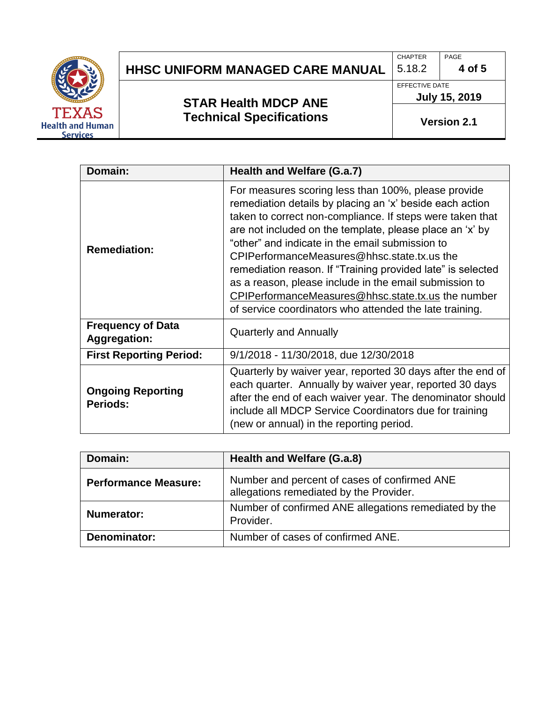

## **HHSC UNIFORM MANAGED CARE MANUAL**  $\begin{bmatrix} 5.18.2 \end{bmatrix}$  4 of 5

## **STAR Health MDCP ANE Technical Specifications**

CHAPTER **PAGE** 

EFFECTIVE DATE **July 15, 2019**

**Version 2.1**

| Domain:                                         | Health and Welfare (G.a.7)                                                                                                                                                                                                                                                                                                                                                                                                                                                                                                                                                                  |
|-------------------------------------------------|---------------------------------------------------------------------------------------------------------------------------------------------------------------------------------------------------------------------------------------------------------------------------------------------------------------------------------------------------------------------------------------------------------------------------------------------------------------------------------------------------------------------------------------------------------------------------------------------|
| <b>Remediation:</b>                             | For measures scoring less than 100%, please provide<br>remediation details by placing an 'x' beside each action<br>taken to correct non-compliance. If steps were taken that<br>are not included on the template, please place an 'x' by<br>"other" and indicate in the email submission to<br>CPIPerformanceMeasures@hhsc.state.tx.us the<br>remediation reason. If "Training provided late" is selected<br>as a reason, please include in the email submission to<br><b>CPIPerformanceMeasures@hhsc.state.tx.us the number</b><br>of service coordinators who attended the late training. |
| <b>Frequency of Data</b><br><b>Aggregation:</b> | <b>Quarterly and Annually</b>                                                                                                                                                                                                                                                                                                                                                                                                                                                                                                                                                               |
| <b>First Reporting Period:</b>                  | 9/1/2018 - 11/30/2018, due 12/30/2018                                                                                                                                                                                                                                                                                                                                                                                                                                                                                                                                                       |
| <b>Ongoing Reporting</b><br>Periods:            | Quarterly by waiver year, reported 30 days after the end of<br>each quarter. Annually by waiver year, reported 30 days<br>after the end of each waiver year. The denominator should<br>include all MDCP Service Coordinators due for training<br>(new or annual) in the reporting period.                                                                                                                                                                                                                                                                                                   |

| Domain:                     | Health and Welfare (G.a.8)                                                              |
|-----------------------------|-----------------------------------------------------------------------------------------|
| <b>Performance Measure:</b> | Number and percent of cases of confirmed ANE<br>allegations remediated by the Provider. |
| Numerator:                  | Number of confirmed ANE allegations remediated by the<br>Provider.                      |
| Denominator:                | Number of cases of confirmed ANE.                                                       |